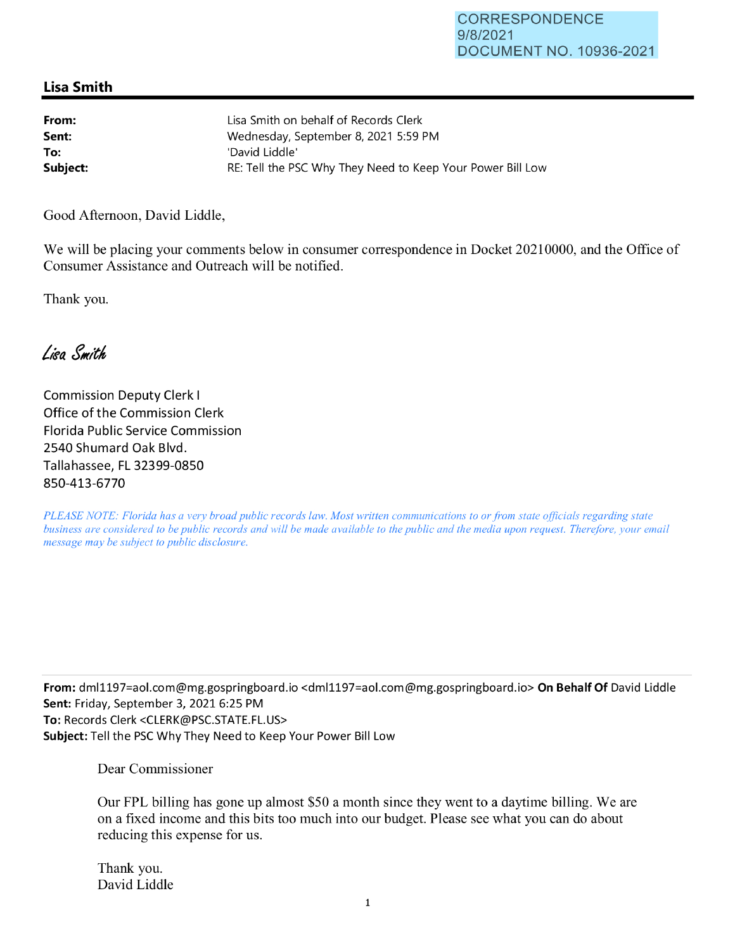## CORRESPONDENCE 9/8/2021 DOCUMENT NO. 10936-2021

## **Lisa Smith**

| From:    | Lisa Smith on behalf of Records Clerk                      |
|----------|------------------------------------------------------------|
| Sent:    | Wednesday, September 8, 2021 5:59 PM                       |
| To:      | 'David Liddle'                                             |
| Subject: | RE: Tell the PSC Why They Need to Keep Your Power Bill Low |

Good Afternoon, David Liddle,

We will be placing your comments below in consumer correspondence in Docket 20210000, and the Office of Consumer Assistance and Outreach will be notified.

Thank you.

Lisa Smith

Commission Deputy Clerk I Office of the Commission Clerk Florida Public Service Commission 2540 Shumard Oak Blvd. Tallahassee, FL 32399-0850 850-413-6770

*PLEASE NOTE: Florida has a very broad public records law. Most written communications to or from state officials regarding state business are considered to be public records and will be made available to the public and the media upon request. Therefore, your email message may be subject to public disclosure.* 

**From:** dml1197=aol.com@mg.gospringboard.io <dml1197=ao1.com@mg.gospringboard.io> **On Behalf Of** David Liddle **Sent:** Friday, September 3, 2021 6:25 PM **To:** Records Clerk <CLERK@PSC.STATE.FL.US> **Subject:** Tell the PSC Why They Need to Keep Your Power Bill Low

Dear Commissioner

Our FPL billing has gone up almost \$50 a month since they went to a daytime billing. We are on a fixed income and this bits too much into our budget. Please see what you can do about reducing this expense for us.

Thank you. David Liddle